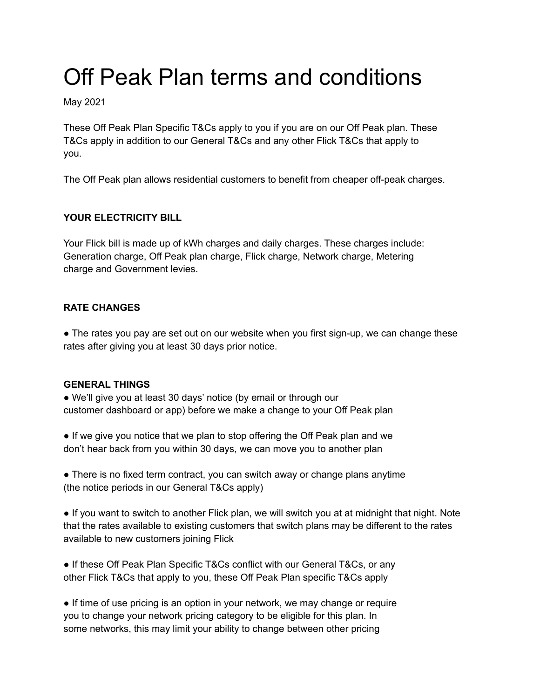# Off Peak Plan terms and conditions

May 2021

These Off Peak Plan Specific T&Cs apply to you if you are on our Off Peak plan. These T&Cs apply in addition to our General T&Cs and any other Flick T&Cs that apply to you.

The Off Peak plan allows residential customers to benefit from cheaper off-peak charges.

### **YOUR ELECTRICITY BILL**

Your Flick bill is made up of kWh charges and daily charges. These charges include: Generation charge, Off Peak plan charge, Flick charge, Network charge, Metering charge and Government levies.

#### **RATE CHANGES**

• The rates you pay are set out on our website when you first sign-up, we can change these rates after giving you at least 30 days prior notice.

#### **GENERAL THINGS**

● We'll give you at least 30 days' notice (by email or through our customer dashboard or app) before we make a change to your Off Peak plan

● If we give you notice that we plan to stop offering the Off Peak plan and we don't hear back from you within 30 days, we can move you to another plan

• There is no fixed term contract, you can switch away or change plans anytime (the notice periods in our General T&Cs apply)

● If you want to switch to another Flick plan, we will switch you at at midnight that night. Note that the rates available to existing customers that switch plans may be different to the rates available to new customers joining Flick

• If these Off Peak Plan Specific T&Cs conflict with our General T&Cs, or any other Flick T&Cs that apply to you, these Off Peak Plan specific T&Cs apply

• If time of use pricing is an option in your network, we may change or require you to change your network pricing category to be eligible for this plan. In some networks, this may limit your ability to change between other pricing